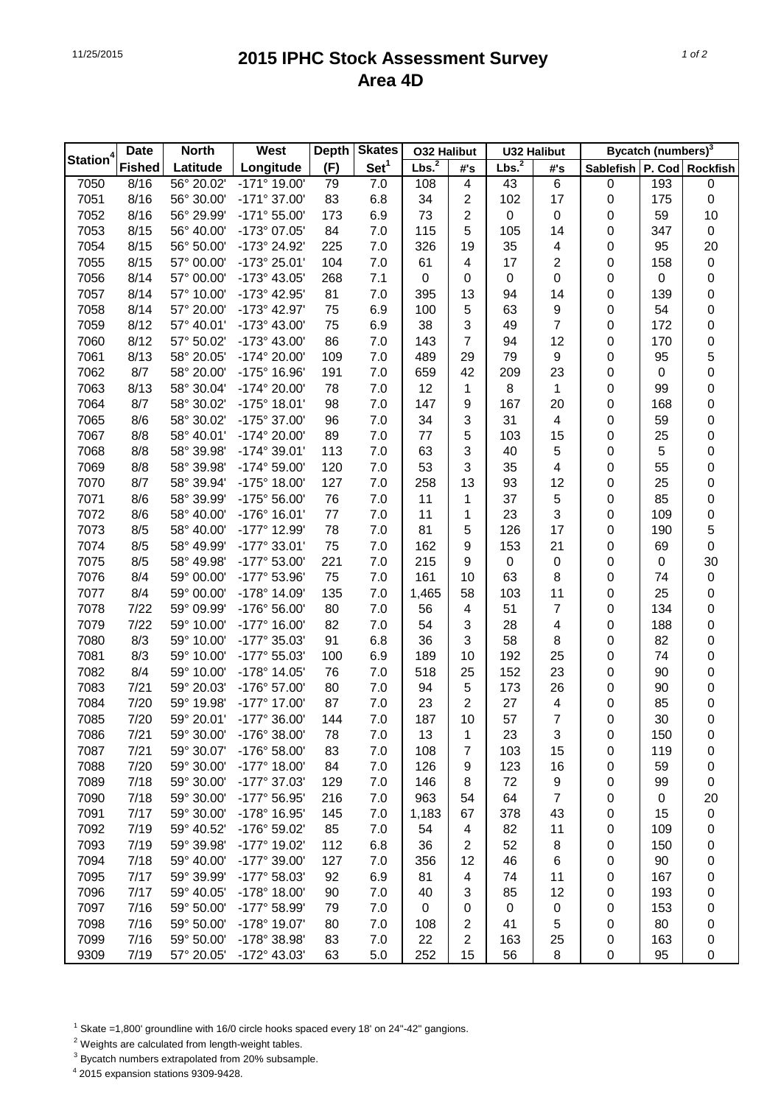## 11/25/2015 **2015 IPHC Stock Assessment Survey Area 4D**

|                      | <b>Date</b>   | <b>North</b>             | West                  | <b>Depth</b> | <b>Skates</b>    | <b>O32 Halibut</b> |                         | <b>U32 Halibut</b> |                  | Bycatch (numbers) <sup>3</sup> |           |                  |
|----------------------|---------------|--------------------------|-----------------------|--------------|------------------|--------------------|-------------------------|--------------------|------------------|--------------------------------|-----------|------------------|
| Station <sup>4</sup> | <b>Fished</b> | Latitude                 | Longitude             | (F)          | Set <sup>1</sup> | Lbs. <sup>2</sup>  | $\#^{\centerdot}$ s     | Lbs. <sup>2</sup>  | #'s              | <b>Sablefish</b>               |           | P. Cod Rockfish  |
| 7050                 | 8/16          | 56° 20.02'               | -171° 19.00'          | 79           | 7.0              | 108                | $\overline{\mathbf{4}}$ | 43                 | 6                | $\pmb{0}$                      | 193       | $\mathbf 0$      |
| 7051                 | 8/16          | 56° 30.00'               | -171° 37.00'          | 83           | 6.8              | 34                 | 2                       | 102                | 17               | $\pmb{0}$                      | 175       | $\boldsymbol{0}$ |
| 7052                 | 8/16          | 56° 29.99'               | $-171°55.00'$         | 173          | 6.9              | 73                 | $\overline{c}$          | $\pmb{0}$          | $\pmb{0}$        | 0                              | 59        | 10               |
| 7053                 | 8/15          | 56° 40.00'               | -173° 07.05'          | 84           | 7.0              | 115                | 5                       | 105                | 14               | 0                              | 347       | $\pmb{0}$        |
| 7054                 | 8/15          | 56° 50.00'               | -173° 24.92'          | 225          | 7.0              | 326                | 19                      | 35                 | 4                | 0                              | 95        | 20               |
| 7055                 | 8/15          | 57° 00.00'               | -173° 25.01'          | 104          | 7.0              | 61                 | $\overline{\mathbf{4}}$ | 17                 | $\overline{c}$   | 0                              | 158       | $\mathbf 0$      |
| 7056                 | 8/14          | 57° 00.00'               | -173° 43.05'          | 268          | 7.1              | $\mathbf 0$        | 0                       | $\pmb{0}$          | 0                | 0                              | $\pmb{0}$ | $\mathbf 0$      |
| 7057                 | 8/14          | 57° 10.00'               | -173° 42.95'          | 81           | 7.0              | 395                | 13                      | 94                 | 14               | 0                              | 139       | $\pmb{0}$        |
| 7058                 | 8/14          | 57° 20.00'               | -173° 42.97'          | 75           | 6.9              | 100                | 5                       | 63                 | 9                | 0                              | 54        | $\pmb{0}$        |
| 7059                 | 8/12          | 57° 40.01'               | -173° 43.00'          | 75           | 6.9              | 38                 | $\mathsf 3$             | 49                 | $\overline{7}$   | 0                              | 172       | $\pmb{0}$        |
| 7060                 | 8/12          | 57° 50.02'               | -173° 43.00'          | 86           | 7.0              | 143                | $\overline{7}$          | 94                 | 12               | 0                              | 170       | $\mathbf 0$      |
| 7061                 | 8/13          | 58° 20.05'               | -174° 20.00'          | 109          | 7.0              | 489                | 29                      | 79                 | 9                | 0                              | 95        | 5                |
| 7062                 | 8/7           | 58° 20.00'               | -175° 16.96'          | 191          | 7.0              | 659                | 42                      | 209                | 23               | 0                              | 0         | 0                |
| 7063                 | 8/13          | 58° 30.04'               | -174° 20.00'          | 78           | 7.0              | 12                 | 1                       | 8                  | 1                | 0                              | 99        | 0                |
| 7064                 | 8/7           | 58° 30.02'               | -175° 18.01'          | 98           | 7.0              | 147                | 9                       | 167                | 20               | 0                              | 168       | 0                |
| 7065                 | 8/6           | 58° 30.02'               | -175° 37.00'          | 96           | 7.0              | 34                 | 3                       | 31                 | 4                | 0                              | 59        | 0                |
| 7067                 | 8/8           | 58° 40.01'               | -174° 20.00'          | 89           | 7.0              | 77                 | 5                       | 103                | 15               | 0                              | 25        | 0                |
| 7068                 | 8/8           | 58° 39.98'               | $-174^{\circ}$ 39.01' | 113          | 7.0              | 63                 | 3                       | 40                 | 5                | 0                              | 5         | 0                |
| 7069                 | 8/8           | 58° 39.98'               | -174° 59.00'          | 120          | 7.0              | 53                 | 3                       | 35                 | 4                | 0                              | 55        | 0                |
| 7070                 | 8/7           | 58° 39.94'               | -175° 18.00'          | 127          | 7.0              | 258                | 13                      | 93                 | 12               | 0                              | 25        | 0                |
|                      | 8/6           |                          | -175° 56.00'          |              |                  | 11                 |                         | 37                 |                  |                                | 85        |                  |
| 7071                 |               | 58° 39.99'<br>58° 40.00' | -176° 16.01'          | 76           | 7.0              | 11                 | 1                       |                    | 5<br>3           | 0                              |           | $\mathbf 0$      |
| 7072                 | 8/6           |                          |                       | 77           | 7.0              |                    | 1                       | 23                 |                  | 0                              | 109       | $\mathbf 0$      |
| 7073                 | 8/5           | 58° 40.00'               | -177° 12.99'          | 78           | 7.0              | 81                 | 5                       | 126                | 17               | 0                              | 190       | 5                |
| 7074                 | 8/5           | 58° 49.99'               | -177° 33.01'          | 75           | 7.0              | 162                | 9                       | 153                | 21               | 0                              | 69        | $\mathbf 0$      |
| 7075                 | 8/5           | 58° 49.98'               | -177° 53.00'          | 221          | 7.0              | 215                | 9                       | $\pmb{0}$          | $\boldsymbol{0}$ | 0                              | 0         | 30               |
| 7076                 | 8/4           | 59° 00.00'               | -177° 53.96'          | 75           | 7.0              | 161                | 10                      | 63                 | 8                | 0                              | 74        | $\mathbf 0$      |
| 7077                 | 8/4           | 59° 00.00'               | -178° 14.09'          | 135          | 7.0              | 1,465              | 58                      | 103                | 11               | 0                              | 25        | 0                |
| 7078                 | 7/22          | 59° 09.99'               | -176° 56.00'          | 80           | 7.0              | 56                 | 4                       | 51                 | 7                | 0                              | 134       | 0                |
| 7079                 | 7/22          | 59° 10.00'               | -177° 16.00'          | 82           | 7.0              | 54                 | 3                       | 28                 | 4                | 0                              | 188       | 0                |
| 7080                 | 8/3           | 59° 10.00'               | -177° 35.03'          | 91           | 6.8              | 36                 | 3                       | 58                 | 8                | 0                              | 82        | $\mathbf 0$      |
| 7081                 | 8/3           | 59° 10.00'               | -177° 55.03'          | 100          | 6.9              | 189                | 10                      | 192                | 25               | 0                              | 74        | $\mathbf 0$      |
| 7082                 | 8/4           | 59° 10.00'               | -178° 14.05'          | 76           | 7.0              | 518                | 25                      | 152                | 23               | 0                              | 90        | 0                |
| 7083                 | 7/21          | 59° 20.03'               | -176° 57.00'          | 80           | 7.0              | 94                 | 5                       | 173                | 26               | 0                              | 90        | 0                |
| 7084                 | 7/20          | 59° 19.98'               | -177° 17.00'          | 87           | 7.0              | 23                 | $\overline{2}$          | 27                 | 4                | 0                              | 85        | 0                |
| 7085                 | 7/20          | 59° 20.01'               | $-177^{\circ}$ 36.00' | 144          | 7.0              | 187                | 10                      | 57                 | $\overline{7}$   | 0                              | 30        | $\mathbf 0$      |
| 7086                 | 7/21          | 59° 30.00'               | -176° 38.00'          | 78           | 7.0              | 13                 | 1                       | 23                 | 3                | 0                              | 150       | 0                |
| 7087                 | 7/21          | 59° 30.07'               | -176° 58.00'          | 83           | 7.0              | 108                | 7                       | 103                | 15               | 0                              | 119       | 0                |
| 7088                 | 7/20          | 59° 30.00'               | $-177^{\circ}$ 18.00' | 84           | 7.0              | 126                | 9                       | 123                | 16               | 0                              | 59        | $\boldsymbol{0}$ |
| 7089                 | 7/18          | 59° 30.00'               | -177° 37.03'          | 129          | 7.0              | 146                | 8                       | 72                 | 9                | 0                              | 99        | $\boldsymbol{0}$ |
| 7090                 | 7/18          | 59° 30.00'               | -177° 56.95'          | 216          | 7.0              | 963                | 54                      | 64                 | $\overline{7}$   | 0                              | $\pmb{0}$ | 20               |
| 7091                 | 7/17          | 59° 30.00'               | -178° 16.95'          | 145          | 7.0              | 1,183              | 67                      | 378                | 43               | 0                              | 15        | $\pmb{0}$        |
| 7092                 | 7/19          | 59° 40.52'               | -176° 59.02'          | 85           | 7.0              | 54                 | 4                       | 82                 | 11               | 0                              | 109       | 0                |
| 7093                 | 7/19          | 59° 39.98'               | -177° 19.02'          | 112          | 6.8              | 36                 | $\overline{2}$          | 52                 | 8                | 0                              | 150       | 0                |
| 7094                 | 7/18          | 59° 40.00'               | -177° 39.00'          | 127          | 7.0              | 356                | 12                      | 46                 | 6                | 0                              | 90        | 0                |
| 7095                 | 7/17          | 59° 39.99'               | -177° 58.03'          | 92           | 6.9              | 81                 | $\overline{\mathbf{4}}$ | 74                 | 11               | 0                              | 167       | 0                |
| 7096                 | 7/17          | 59° 40.05'               | -178° 18.00'          | 90           | 7.0              | 40                 | 3                       | 85                 | 12               | 0                              | 193       | 0                |
| 7097                 | 7/16          | 59° 50.00'               | -177° 58.99'          | 79           | 7.0              | 0                  | 0                       | 0                  | $\pmb{0}$        | 0                              | 153       | 0                |
| 7098                 | 7/16          | 59° 50.00'               | -178° 19.07'          | 80           | 7.0              | 108                | $\boldsymbol{2}$        | 41                 | 5                | 0                              | 80        | 0                |
| 7099                 | 7/16          | 59° 50.00'               | -178° 38.98'          | 83           | 7.0              | 22                 | $\boldsymbol{2}$        | 163                | 25               | $\boldsymbol{0}$               | 163       | 0                |
| 9309                 | 7/19          | 57° 20.05'               | -172° 43.03'          | 63           | 5.0              | 252                | 15                      | 56                 | 8                | 0                              | 95        | 0                |

 $1$  Skate =1,800' groundline with 16/0 circle hooks spaced every 18' on 24"-42" gangions.

2 Weights are calculated from length-weight tables.

 $3$  Bycatch numbers extrapolated from 20% subsample.

4 2015 expansion stations 9309-9428.